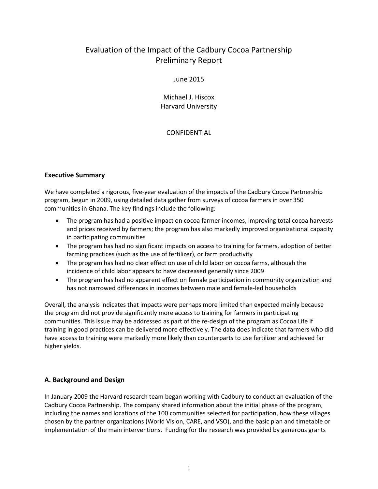# Evaluation of the Impact of the Cadbury Cocoa Partnership Preliminary Report

## June 2015

Michael J. Hiscox Harvard University

# CONFIDENTIAL

# **Executive Summary**

We have completed a rigorous, five-year evaluation of the impacts of the Cadbury Cocoa Partnership program, begun in 2009, using detailed data gather from surveys of cocoa farmers in over 350 communities in Ghana. The key findings include the following:

- The program has had a positive impact on cocoa farmer incomes, improving total cocoa harvests and prices received by farmers; the program has also markedly improved organizational capacity in participating communities
- The program has had no significant impacts on access to training for farmers, adoption of better farming practices (such as the use of fertilizer), or farm productivity
- The program has had no clear effect on use of child labor on cocoa farms, although the incidence of child labor appears to have decreased generally since 2009
- The program has had no apparent effect on female participation in community organization and has not narrowed differences in incomes between male and female-led households

Overall, the analysis indicates that impacts were perhaps more limited than expected mainly because the program did not provide significantly more access to training for farmers in participating communities. This issue may be addressed as part of the re-design of the program as Cocoa Life if training in good practices can be delivered more effectively. The data does indicate that farmers who did have access to training were markedly more likely than counterparts to use fertilizer and achieved far higher yields.

# **A. Background and Design**

In January 2009 the Harvard research team began working with Cadbury to conduct an evaluation of the Cadbury Cocoa Partnership. The company shared information about the initial phase of the program, including the names and locations of the 100 communities selected for participation, how these villages chosen by the partner organizations (World Vision, CARE, and VSO), and the basic plan and timetable or implementation of the main interventions. Funding for the research was provided by generous grants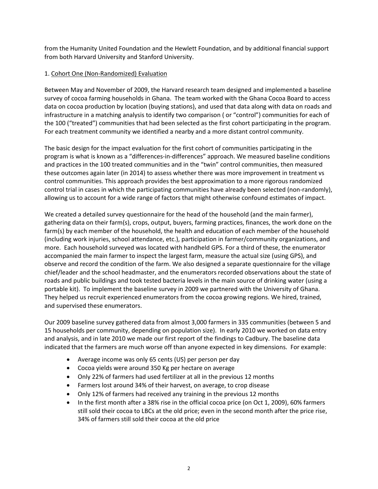from the Humanity United Foundation and the Hewlett Foundation, and by additional financial support from both Harvard University and Stanford University.

## 1. Cohort One (Non-Randomized) Evaluation

Between May and November of 2009, the Harvard research team designed and implemented a baseline survey of cocoa farming households in Ghana. The team worked with the Ghana Cocoa Board to access data on cocoa production by location (buying stations), and used that data along with data on roads and infrastructure in a matching analysis to identify two comparison ( or "control") communities for each of the 100 ("treated") communities that had been selected as the first cohort participating in the program. For each treatment community we identified a nearby and a more distant control community.

The basic design for the impact evaluation for the first cohort of communities participating in the program is what is known as a "differences-in-differences" approach. We measured baseline conditions and practices in the 100 treated communities and in the "twin" control communities, then measured these outcomes again later (in 2014) to assess whether there was more improvement in treatment vs control communities. This approach provides the best approximation to a more rigorous randomized control trial in cases in which the participating communities have already been selected (non-randomly), allowing us to account for a wide range of factors that might otherwise confound estimates of impact.

We created a detailed survey questionnaire for the head of the household (and the main farmer), gathering data on their farm(s), crops, output, buyers, farming practices, finances, the work done on the farm(s) by each member of the household, the health and education of each member of the household (including work injuries, school attendance, etc.), participation in farmer/community organizations, and more. Each household surveyed was located with handheld GPS. For a third of these, the enumerator accompanied the main farmer to inspect the largest farm, measure the actual size (using GPS), and observe and record the condition of the farm. We also designed a separate questionnaire for the village chief/leader and the school headmaster, and the enumerators recorded observations about the state of roads and public buildings and took tested bacteria levels in the main source of drinking water (using a portable kit). To implement the baseline survey in 2009 we partnered with the University of Ghana. They helped us recruit experienced enumerators from the cocoa growing regions. We hired, trained, and supervised these enumerators.

Our 2009 baseline survey gathered data from almost 3,000 farmers in 335 communities (between 5 and 15 households per community, depending on population size). In early 2010 we worked on data entry and analysis, and in late 2010 we made our first report of the findings to Cadbury. The baseline data indicated that the farmers are much worse off than anyone expected in key dimensions. For example:

- Average income was only 65 cents (US) per person per day
- Cocoa yields were around 350 Kg per hectare on average
- Only 22% of farmers had used fertilizer at all in the previous 12 months
- Farmers lost around 34% of their harvest, on average, to crop disease
- Only 12% of farmers had received any training in the previous 12 months
- In the first month after a 38% rise in the official cocoa price (on Oct 1, 2009), 60% farmers still sold their cocoa to LBCs at the old price; even in the second month after the price rise, 34% of farmers still sold their cocoa at the old price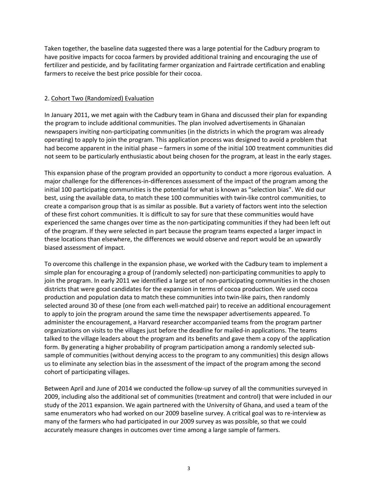Taken together, the baseline data suggested there was a large potential for the Cadbury program to have positive impacts for cocoa farmers by provided additional training and encouraging the use of fertilizer and pesticide, and by facilitating farmer organization and Fairtrade certification and enabling farmers to receive the best price possible for their cocoa.

## 2. Cohort Two (Randomized) Evaluation

In January 2011, we met again with the Cadbury team in Ghana and discussed their plan for expanding the program to include additional communities. The plan involved advertisements in Ghanaian newspapers inviting non-participating communities (in the districts in which the program was already operating) to apply to join the program. This application process was designed to avoid a problem that had become apparent in the initial phase – farmers in some of the initial 100 treatment communities did not seem to be particularly enthusiastic about being chosen for the program, at least in the early stages.

This expansion phase of the program provided an opportunity to conduct a more rigorous evaluation. A major challenge for the differences-in-differences assessment of the impact of the program among the initial 100 participating communities is the potential for what is known as "selection bias". We did our best, using the available data, to match these 100 communities with twin-like control communities, to create a comparison group that is as similar as possible. But a variety of factors went into the selection of these first cohort communities. It is difficult to say for sure that these communities would have experienced the same changes over time as the non-participating communities if they had been left out of the program. If they were selected in part because the program teams expected a larger impact in these locations than elsewhere, the differences we would observe and report would be an upwardly biased assessment of impact.

To overcome this challenge in the expansion phase, we worked with the Cadbury team to implement a simple plan for encouraging a group of (randomly selected) non-participating communities to apply to join the program. In early 2011 we identified a large set of non-participating communities in the chosen districts that were good candidates for the expansion in terms of cocoa production. We used cocoa production and population data to match these communities into twin-like pairs, then randomly selected around 30 of these (one from each well-matched pair) to receive an additional encouragement to apply to join the program around the same time the newspaper advertisements appeared. To administer the encouragement, a Harvard researcher accompanied teams from the program partner organizations on visits to the villages just before the deadline for mailed-in applications. The teams talked to the village leaders about the program and its benefits and gave them a copy of the application form. By generating a higher probability of program participation among a randomly selected subsample of communities (without denying access to the program to any communities) this design allows us to eliminate any selection bias in the assessment of the impact of the program among the second cohort of participating villages.

Between April and June of 2014 we conducted the follow-up survey of all the communities surveyed in 2009, including also the additional set of communities (treatment and control) that were included in our study of the 2011 expansion. We again partnered with the University of Ghana, and used a team of the same enumerators who had worked on our 2009 baseline survey. A critical goal was to re-interview as many of the farmers who had participated in our 2009 survey as was possible, so that we could accurately measure changes in outcomes over time among a large sample of farmers.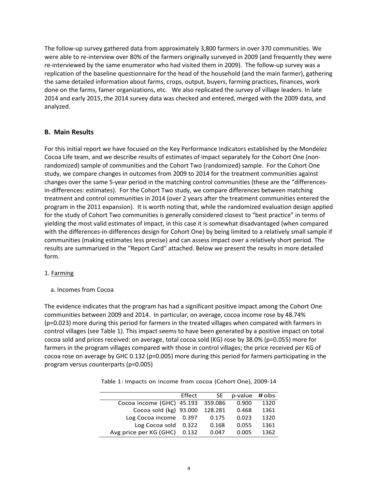The follow-up survey gathered data from approximately 3,800 farmers in over 370 communities. We were able to re-interview over 80% of the farmers originally surveyed in 2009 (and frequently they were re-interviewed by the same enumerator who had visited them in 2009). The follow-up survey was a replication of the baseline questionnaire for the head of the household (and the main farmer), gathering the same detailed information about farms, crops, output, buyers, farming practices, finances, work done on the farms, famer organizations, etc. We also replicated the survey of village leaders. In late 2014 and early 2015, the 2014 survey data was checked and entered, merged with the 2009 data, and analyzed.

## **B. Main Results**

For this initial report we have focused on the Key Performance Indicators established by the Mondelez Cocoa Life team, and we describe results of estimates of impact separately for the Cohort One (nonrandomized) sample of communities and the Cohort Two (randomized) sample. For the Cohort One study, we compare changes in outcomes from 2009 to 2014 for the treatment communities against changes over the same 5-year period in the matching control communities (these are the "differencesin-differences: estimates). For the Cohort Two study, we compare differences between matching treatment and control communities in 2014 (over 2 years after the treatment communities entered the program in the 2011 expansion). It is worth noting that, while the randomized evaluation design applied for the study of Cohort Two communities is generally considered closest to "best practice" in terms of yielding the most valid estimates of impact, in this case it is somewhat disadvantaged (when compared with the differences-in-differences design for Cohort One) by being limited to a relatively small sample if communities (making estimates less precise) and can assess impact over a relatively short period. The results are summarized in the "Report Card" attached. Below we present the results in more detailed form.

## 1. Farming

a. Incomes from Cocoa

The evidence indicates that the program has had a significant positive impact among the Cohort One communities between 2009 and 2014. In particular, on average, cocoa income rose by 48.74% (p=0.023) more during this period for farmers in the treated villages when compared with farmers in control villages (see Table 1). This impact seems to have been generated by a positive impact on total cocoa sold and prices received: on average, total cocoa sold (KG) rose by 38.0% (p=0.055) more for farmers in the program villages compared with those in control villages; the price received per KG of cocoa rose on average by GHC 0.132 (p=0.005) more during this period for farmers participating in the program versus counterparts (p=0.005)

| Table 1: Impacts on income from cocoa (Cohort One), 2009-14 |  |  |
|-------------------------------------------------------------|--|--|
|                                                             |  |  |

|                           | Effect | SE.     | $p$ -value #obs |      |
|---------------------------|--------|---------|-----------------|------|
| Cocoa income (GHC) 45.193 |        | 359.086 | 0.900           | 1320 |
| Cocoa sold (kg) 93.000    |        | 128.281 | 0.468           | 1361 |
| Log Cocoa income          | 0.397  | 0.175   | 0.023           | 1320 |
| Log Cocoa sold            | 0.322  | 0.168   | 0.055           | 1361 |
| Avg price per KG (GHC)    | 0.132  | 0.047   | 0.005           | 1362 |
|                           |        |         |                 |      |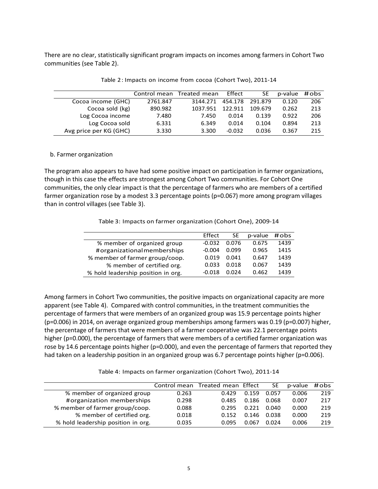There are no clear, statistically significant program impacts on incomes among farmers in Cohort Two communities (see Table 2).

|                        |          | Control mean Treated mean | Effect   | SE      | p-value | #obs |
|------------------------|----------|---------------------------|----------|---------|---------|------|
| Cocoa income (GHC)     | 2761.847 | 3144.271                  | 454.178  | 291.879 | 0.120   | 206  |
| Cocoa sold (kg)        | 890.982  | 1037.951                  | 122.911  | 109.679 | 0.262   | 213  |
| Log Cocoa income       | 7.480    | 7.450                     | 0.014    | 0.139   | 0.922   | 206  |
| Log Cocoa sold         | 6.331    | 6.349                     | 0.014    | 0.104   | 0.894   | 213  |
| Avg price per KG (GHC) | 3.330    | 3.300                     | $-0.032$ | 0.036   | 0.367   | 215  |

Table 2: Impacts on income from cocoa (Cohort Two), 2011-14

#### b. Farmer organization

The program also appears to have had some positive impact on participation in farmer organizations, though in this case the effects are strongest among Cohort Two communities. For Cohort One communities, the only clear impact is that the percentage of farmers who are members of a certified farmer organization rose by a modest 3.3 percentage points (p=0.067) more among program villages than in control villages (see Table 3).

Table 3: Impacts on farmer organization (Cohort One), 2009-14

|                                    | Effect   | SE    | p-value | #obs |
|------------------------------------|----------|-------|---------|------|
| % member of organized group        | $-0.032$ | 0.076 | 0.675   | 1439 |
| #organizationalmemberships         | $-0.004$ | 0.099 | 0.965   | 1415 |
| % member of farmer group/coop.     | 0.019    | 0.041 | 0.647   | 1439 |
| % member of certified org.         | 0.033    | 0.018 | 0.067   | 1439 |
| % hold leadership position in org. | -በ በ1ጸ   | በ በ24 | 0.462   | 1439 |

Among farmers in Cohort Two communities, the positive impacts on organizational capacity are more apparent (see Table 4). Compared with control communities, in the treatment communities the percentage of farmers that were members of an organized group was 15.9 percentage points higher (p=0.006) in 2014, on average organized group memberships among farmers was 0.19 (p=0.007) higher, the percentage of farmers that were members of a farmer cooperative was 22.1 percentage points higher (p=0.000), the percentage of farmers that were members of a certified farmer organization was rose by 14.6 percentage points higher (p=0.000), and even the percentage of farmers that reported they had taken on a leadership position in an organized group was 6.7 percentage points higher (p=0.006).

Table 4: Impacts on farmer organization (Cohort Two), 2011-14

|                                    | Control mean | Treated mean Effect |       | <b>SE</b> | p-value | #obs |
|------------------------------------|--------------|---------------------|-------|-----------|---------|------|
| % member of organized group        | 0.263        | 0.429               | 0.159 | 0.057     | 0.006   | 219  |
| #organization memberships          | 0.298        | 0.485               | 0.186 | 0.068     | 0.007   | 217  |
| % member of farmer group/coop.     | 0.088        | 0.295               | 0.221 | 0.040     | 0.000   | 219  |
| % member of certified org.         | 0.018        | 0.152               | 0.146 | 0.038     | 0.000   | 219  |
| % hold leadership position in org. | 0.035        | 0.095               | 0.067 | 0.024     | 0.006   | 219  |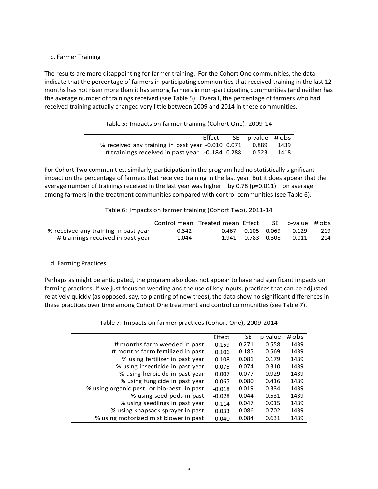#### c. Farmer Training

The results are more disappointing for farmer training. For the Cohort One communities, the data indicate that the percentage of farmers in participating communities that received training in the last 12 months has not risen more than it has among farmers in non-participating communities (and neither has the average number of trainings received (see Table 5). Overall, the percentage of farmers who had received training actually changed very little between 2009 and 2014 in these communities.

Table 5: Impacts on farmer training (Cohort One), 2009-14

| Effect                                            | SE p-value #obs |      |
|---------------------------------------------------|-----------------|------|
| % received any training in past year -0.010 0.071 | 0.889           | 1439 |
| # trainings received in past year -0.184 0.288    | 0.523           | 1418 |

For Cohort Two communities, similarly, participation in the program had no statistically significant impact on the percentage of farmers that received training in the last year. But it does appear that the average number of trainings received in the last year was higher  $-$  by 0.78 (p=0.011) – on average among farmers in the treatment communities compared with control communities (see Table 6).

| Table 6: Impacts on farmer training (Cohort Two), 2011-14 |  |  |  |
|-----------------------------------------------------------|--|--|--|
|-----------------------------------------------------------|--|--|--|

|                                      |       | Control mean Treated mean Effect |             | SE. | p-value #obs |     |
|--------------------------------------|-------|----------------------------------|-------------|-----|--------------|-----|
| % received any training in past year | 0.342 | 0.467                            | 0.105 0.069 |     | 0.129        | 219 |
| # trainings received in past year    | 1.044 | 1.941                            | 0.783 0.308 |     | 0.011        | 214 |

## d. Farming Practices

Perhaps as might be anticipated, the program also does not appear to have had significant impacts on farming practices. If we just focus on weeding and the use of key inputs, practices that can be adjusted relatively quickly (as opposed, say, to planting of new trees), the data show no significant differences in these practices over time among Cohort One treatment and control communities (see Table 7).

Table 7: Impacts on farmer practices (Cohort One), 2009-2014

|                                            | Effect   | <b>SE</b> | p-value | #obs |
|--------------------------------------------|----------|-----------|---------|------|
| # months farm weeded in past               | $-0.159$ | 0.271     | 0.558   | 1439 |
| # months farm fertilized in past           | 0.106    | 0.185     | 0.569   | 1439 |
| % using fertilizer in past year            | 0.108    | 0.081     | 0.179   | 1439 |
| % using insecticide in past year           | 0.075    | 0.074     | 0.310   | 1439 |
| % using herbicide in past year             | 0.007    | 0.077     | 0.929   | 1439 |
| % using fungicide in past year             | 0.065    | 0.080     | 0.416   | 1439 |
| % using organic pest. or bio-pest. in past | $-0.018$ | 0.019     | 0.334   | 1439 |
| % using seed pods in past                  | $-0.028$ | 0.044     | 0.531   | 1439 |
| % using seedlings in past year             | $-0.114$ | 0.047     | 0.015   | 1439 |
| % using knapsack sprayer in past           | 0.033    | 0.086     | 0.702   | 1439 |
| % using motorized mist blower in past      | 0.040    | 0.084     | 0.631   | 1439 |
|                                            |          |           |         |      |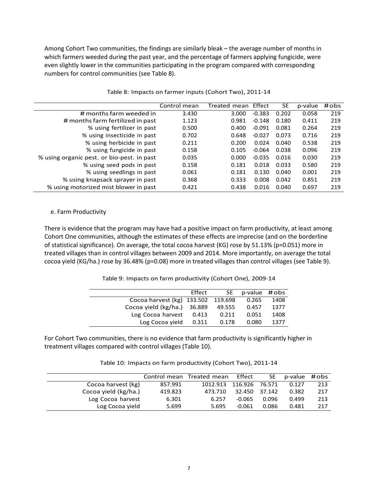Among Cohort Two communities, the findings are similarly bleak – the average number of months in which farmers weeded during the past year, and the percentage of farmers applying fungicide, were even slightly lower in the communities participating in the program compared with corresponding numbers for control communities (see Table 8).

|                                            | Control mean | Treated mean | Effect   | <b>SE</b> | p-value | #obs |
|--------------------------------------------|--------------|--------------|----------|-----------|---------|------|
| # months farm weeded in                    | 3.430        | 3.000        | $-0.383$ | 0.202     | 0.058   | 219  |
| # months farm fertilized in past           | 1.123        | 0.981        | $-0.148$ | 0.180     | 0.411   | 219  |
| % using fertilizer in past                 | 0.500        | 0.400        | $-0.091$ | 0.081     | 0.264   | 219  |
| % using insecticide in past                | 0.702        | 0.648        | $-0.027$ | 0.073     | 0.716   | 219  |
| % using herbicide in past                  | 0.211        | 0.200        | 0.024    | 0.040     | 0.538   | 219  |
| % using fungicide in past                  | 0.158        | 0.105        | $-0.064$ | 0.038     | 0.096   | 219  |
| % using organic pest. or bio-pest. in past | 0.035        | 0.000        | $-0.035$ | 0.016     | 0.030   | 219  |
| % using seed pods in past                  | 0.158        | 0.181        | 0.018    | 0.033     | 0.580   | 219  |
| % using seedlings in past                  | 0.061        | 0.181        | 0.130    | 0.040     | 0.001   | 219  |
| % using knapsack sprayer in past           | 0.368        | 0.333        | 0.008    | 0.042     | 0.851   | 219  |
| % using motorized mist blower in past      | 0.421        | 0.438        | 0.016    | 0.040     | 0.697   | 219  |

Table 8: Impacts on farmer inputs (Cohort Two), 2011-14

#### e. Farm Productivity

There is evidence that the program may have had a positive impact on farm productivity, at least among Cohort One communities, although the estimates of these effects are imprecise (and on the borderline of statistical significance). On average, the total cocoa harvest (KG) rose by 51.13% (p=0.051) more in treated villages than in control villages between 2009 and 2014. More importantly, on average the total cocoa yield (KG/ha.) rose by 36.48% (p=0.08) more in treated villages than control villages (see Table 9).

#### Table 9: Impacts on farm productivity (Cohort One), 2009-14

|                                    | Effect | SE -   | p-value #obs |      |
|------------------------------------|--------|--------|--------------|------|
| Cocoa harvest (kg) 133.502 119.698 |        |        | 0.265        | 1408 |
| Cocoa yield (kg/ha.) 36.889        |        | 49.555 | 0.457        | 1377 |
| Log Cocoa harvest                  | 0.413  | 0.211  | 0.051        | 1408 |
| Log Cocoa yield                    | 0.311  | 0.178  | 0.080        | 1377 |

For Cohort Two communities, there is no evidence that farm productivity is significantly higher in treatment villages compared with control villages (Table 10).

Table 10: Impacts on farm productivity (Cohort Two), 2011-14

|                      |         | Control mean Treated mean | Effect   | SE.    | p-value #obs |     |
|----------------------|---------|---------------------------|----------|--------|--------------|-----|
| Cocoa harvest (kg)   | 857.991 | 1012.913                  | 116.926  | 76.571 | 0.127        | 213 |
| Cocoa yield (kg/ha.) | 419.823 | 473.710                   | 32.450   | 37.142 | 0.382        | 217 |
| Log Cocoa harvest    | 6.301   | 6.257                     | $-0.065$ | 0.096  | 0.499        | 213 |
| Log Cocoa yield      | 5.699   | 5.695                     | $-0.061$ | 0.086  | 0.481        | 217 |
|                      |         |                           |          |        |              |     |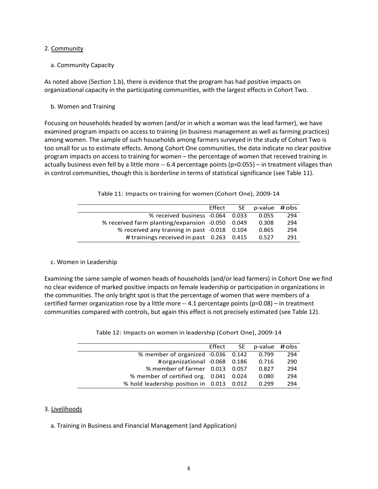#### 2. Community

## a. Community Capacity

As noted above (Section 1.b), there is evidence that the program has had positive impacts on organizational capacity in the participating communities, with the largest effects in Cohort Two.

b. Women and Training

Focusing on households headed by women (and/or in which a woman was the lead farmer), we have examined program impacts on access to training (in business management as well as farming practices) among women. The sample of such households among farmers surveyed in the study of Cohort Two is too small for us to estimate effects. Among Cohort One communities, the data indicate no clear positive program impacts on access to training for women – the percentage of women that received training in actually business even fell by a little more -- 6.4 percentage points (p=0.055) – in treatment villages than in control communities, though this is borderline in terms of statistical significance (see Table 11).

|  |  |  | Table 11: Impacts on training for women (Cohort One), 2009-14 |  |  |
|--|--|--|---------------------------------------------------------------|--|--|
|--|--|--|---------------------------------------------------------------|--|--|

|                                                 | Effect SE | p-value #obs |     |
|-------------------------------------------------|-----------|--------------|-----|
| % received business -0.064 0.033                |           | 0.055        | 294 |
| % received farm planting/expansion -0.050 0.049 |           | 0.308        | 294 |
| % received any training in past -0.018 0.104    |           | 0.865        | 294 |
| # trainings received in past $0.263$ 0.415      |           | 0.527        | 291 |

## c. Women in Leadership

Examining the same sample of women heads of households (and/or lead farmers) in Cohort One we find no clear evidence of marked positive impacts on female leadership or participation in organizations in the communities. The only bright spot is that the percentage of women that were members of a certified farmer organization rose by a little more -- 4.1 percentage points (p=0.08) – in treatment communities compared with controls, but again this effect is not precisely estimated (see Table 12).

|                                           | Effect SE | p-value #obs |     |
|-------------------------------------------|-----------|--------------|-----|
| % member of organized -0.036 0.142        |           | 0.799        | 294 |
| #organizational -0.068 0.186              |           | 0.716        | 290 |
| % member of farmer 0.013 0.057            |           | 0.827        | 294 |
| % member of certified org. 0.041 0.024    |           | 0.080        | 294 |
| % hold leadership position in 0.013 0.012 |           | 0.299        | 294 |

| Table 12: Impacts on women in leadership (Cohort One), 2009-14 |  |  |  |
|----------------------------------------------------------------|--|--|--|
|----------------------------------------------------------------|--|--|--|

#### 3. Livelihoods

a. Training in Business and Financial Management (and Application)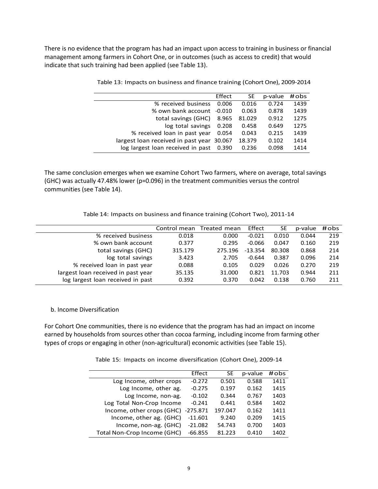There is no evidence that the program has had an impact upon access to training in business or financial management among farmers in Cohort One, or in outcomes (such as access to credit) that would indicate that such training had been applied (see Table 13).

|                                           | Effect | <b>SE</b> | p-value | #obs |
|-------------------------------------------|--------|-----------|---------|------|
| % received business                       | 0.006  | 0.016     | 0.724   | 1439 |
| % own bank account -0.010                 |        | 0.063     | 0.878   | 1439 |
| total savings (GHC)                       | 8.965  | 81.029    | 0.912   | 1275 |
| log total savings                         | 0.208  | 0.458     | 0.649   | 1275 |
| % received loan in past year              | 0.054  | 0.043     | 0.215   | 1439 |
| largest loan received in past year 30.067 |        | 18.379    | 0.102   | 1414 |
| log largest loan received in past 0.390   |        | 0.236     | 0.098   | 1414 |

Table 13: Impacts on business and finance training (Cohort One), 2009-2014

The same conclusion emerges when we examine Cohort Two farmers, where on average, total savings (GHC) was actually 47.48% lower (p=0.096) in the treatment communities versus the control communities (see Table 14).

Table 14: Impacts on business and finance training (Cohort Two), 2011-14

|                                    |         | Control mean Treated mean | Effect    | SE     | p-value | #obs |
|------------------------------------|---------|---------------------------|-----------|--------|---------|------|
| % received business                | 0.018   | 0.000                     | $-0.021$  | 0.010  | 0.044   | 219  |
| % own bank account                 | 0.377   | 0.295                     | $-0.066$  | 0.047  | 0.160   | 219  |
| total savings (GHC)                | 315.179 | 275.196                   | $-13.354$ | 80.308 | 0.868   | 214  |
| log total savings                  | 3.423   | 2.705                     | $-0.644$  | 0.387  | 0.096   | 214  |
| % received loan in past year       | 0.088   | 0.105                     | 0.029     | 0.026  | 0.270   | 219  |
| largest loan received in past year | 35.135  | 31.000                    | 0.821     | 11.703 | 0.944   | 211  |
| log largest loan received in past  | 0.392   | 0.370                     | 0.042     | 0.138  | 0.760   | 211  |

b. Income Diversification

For Cohort One communities, there is no evidence that the program has had an impact on income earned by households from sources other than cocoa farming, including income from farming other types of crops or engaging in other (non-agricultural) economic activities (see Table 15).

Table 15: Impacts on income diversification (Cohort One), 2009-14

|                                    | Effect    | <b>SE</b> | p-value | #obs |
|------------------------------------|-----------|-----------|---------|------|
| Log Income, other crops            | $-0.272$  | 0.501     | 0.588   | 1411 |
| Log Income, other ag.              | $-0.275$  | 0.197     | 0.162   | 1415 |
| Log Income, non-ag.                | $-0.102$  | 0.344     | 0.767   | 1403 |
| Log Total Non-Crop Income          | $-0.241$  | 0.441     | 0.584   | 1402 |
| Income, other crops (GHC) -275.871 |           | 197.047   | 0.162   | 1411 |
| Income, other ag. (GHC)            | $-11.601$ | 9.240     | 0.209   | 1415 |
| Income, non-ag. (GHC)              | $-21.082$ | 54.743    | 0.700   | 1403 |
| Total Non-Crop Income (GHC)        | $-66.855$ | 81.223    | 0.410   | 1402 |
|                                    |           |           |         |      |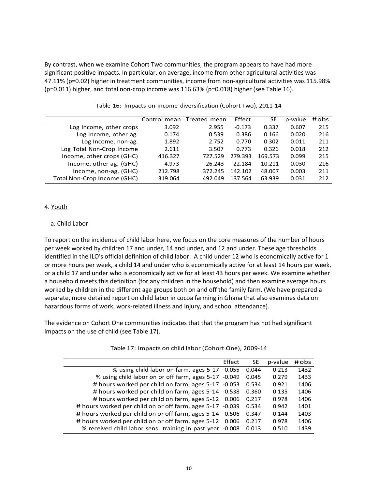By contrast, when we examine Cohort Two communities, the program appears to have had more significant positive impacts. In particular, on average, income from other agricultural activities was 47.11% (p=0.02) higher in treatment communities, income from non-agricultural activities was 115.98% (p=0.011) higher, and total non-crop income was 116.63% (p=0.018) higher (see Table 16).

|                             | Control mean | Treated mean | Effect   | SE      | p-value | #obs |
|-----------------------------|--------------|--------------|----------|---------|---------|------|
| Log Income, other crops     | 3.092        | 2.955        | $-0.173$ | 0.337   | 0.607   | 215  |
| Log Income, other ag.       | 0.174        | 0.539        | 0.386    | 0.166   | 0.020   | 216  |
| Log Income, non-ag.         | 1.892        | 2.752        | 0.770    | 0.302   | 0.011   | 211  |
| Log Total Non-Crop Income   | 2.611        | 3.507        | 0.773    | 0.326   | 0.018   | 212  |
| Income, other crops (GHC)   | 416.327      | 727.529      | 279.393  | 169.573 | 0.099   | 215  |
| Income, other ag. (GHC)     | 4.973        | 26.243       | 22.184   | 10.211  | 0.030   | 216  |
| Income, non-ag. (GHC)       | 212.798      | 372.245      | 142.102  | 48.007  | 0.003   | 211  |
| Total Non-Crop Income (GHC) | 319.064      | 492.049      | 137.564  | 63.939  | 0.031   | 212  |

Table 16: Impacts on income diversification (Cohort Two), 2011-14

## 4. Youth

#### a. Child Labor

To report on the incidence of child labor here, we focus on the core measures of the number of hours per week worked by children 17 and under, 14 and under, and 12 and under. These age thresholds identified in the ILO's official definition of child labor: A child under 12 who is economically active for 1 or more hours per week, a child 14 and under who is economically active for at least 14 hours per week, or a child 17 and under who is economically active for at least 43 hours per week. We examine whether a household meets this definition (for any children in the household) and then examine average hours worked by children in the different age groups both on and off the family farm. (We have prepared a separate, more detailed report on child labor in cocoa farming in Ghana that also examines data on hazardous forms of work, work-related illness and injury, and school attendance).

The evidence on Cohort One communities indicates that that the program has not had significant impacts on the use of child (see Table 17).

|                                                           | Effect | <b>SE</b> | p-value | #obs |
|-----------------------------------------------------------|--------|-----------|---------|------|
| % using child labor on farm, ages 5-17 -0.055             |        | 0.044     | 0.213   | 1432 |
| % using child labor on or off farm, ages 5-17 -0.049      |        | 0.045     | 0.279   | 1433 |
| # hours worked per child on farm, ages 5-17 -0.053        |        | 0.534     | 0.921   | 1406 |
| # hours worked per child on farm, ages 5-14 -0.538        |        | 0.360     | 0.135   | 1406 |
| # hours worked per child on farm, ages 5-12 0.006         |        | 0.217     | 0.978   | 1406 |
| # hours worked per child on or off farm, ages 5-17 -0.039 |        | 0.534     | 0.942   | 1401 |
| # hours worked per child on or off farm, ages 5-14 -0.506 |        | 0.347     | 0.144   | 1403 |
| # hours worked per child on or off farm, ages 5-12        | 0.006  | 0.217     | 0.978   | 1406 |
| % received child labor sens. training in past year -0.008 |        | 0.013     | 0.510   | 1439 |
|                                                           |        |           |         |      |

|  | Table 17: Impacts on child labor (Cohort One), 2009-14 |  |
|--|--------------------------------------------------------|--|
|  |                                                        |  |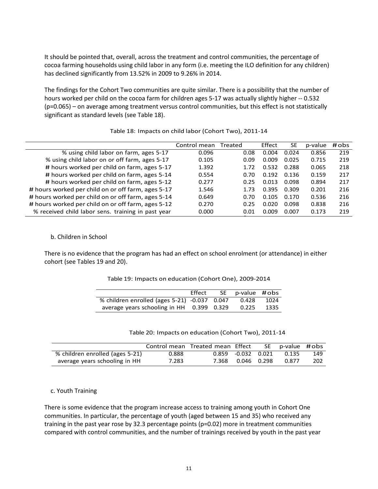It should be pointed that, overall, across the treatment and control communities, the percentage of cocoa farming households using child labor in any form (i.e. meeting the ILO definition for any children) has declined significantly from 13.52% in 2009 to 9.26% in 2014.

The findings for the Cohort Two communities are quite similar. There is a possibility that the number of hours worked per child on the cocoa farm for children ages 5-17 was actually slightly higher -- 0.532 (p=0.065) – on average among treatment versus control communities, but this effect is not statistically significant as standard levels (see Table 18).

|                                                    | Control mean | Treated | Effect | SE    | p-value | #obs |
|----------------------------------------------------|--------------|---------|--------|-------|---------|------|
| % using child labor on farm, ages 5-17             | 0.096        | 0.08    | 0.004  | 0.024 | 0.856   | 219  |
| % using child labor on or off farm, ages 5-17      | 0.105        | 0.09    | 0.009  | 0.025 | 0.715   | 219  |
| # hours worked per child on farm, ages 5-17        | 1.392        | 1.72    | 0.532  | 0.288 | 0.065   | 218  |
| # hours worked per child on farm, ages 5-14        | 0.554        | 0.70    | 0.192  | 0.136 | 0.159   | 217  |
| # hours worked per child on farm, ages 5-12        | 0.277        | 0.25    | 0.013  | 0.098 | 0.894   | 217  |
| # hours worked per child on or off farm, ages 5-17 | 1.546        | 1.73    | 0.395  | 0.309 | 0.201   | 216  |
| # hours worked per child on or off farm, ages 5-14 | 0.649        | 0.70    | 0.105  | 0.170 | 0.536   | 216  |
| # hours worked per child on or off farm, ages 5-12 | 0.270        | 0.25    | 0.020  | 0.098 | 0.838   | 216  |
| % received child labor sens. training in past year | 0.000        | 0.01    | 0.009  | 0.007 | 0.173   | 219  |
|                                                    |              |         |        |       |         |      |

Table 18: Impacts on child labor (Cohort Two), 2011-14

#### b. Children in School

There is no evidence that the program has had an effect on school enrolment (or attendance) in either cohort (see Tables 19 and 20).

|  |  |  | Table 19: Impacts on education (Cohort One), 2009-2014 |
|--|--|--|--------------------------------------------------------|
|--|--|--|--------------------------------------------------------|

|                                              | Effect | SE p-value #obs |      |
|----------------------------------------------|--------|-----------------|------|
| % children enrolled (ages 5-21) -0.037 0.047 |        | 0.428           | 1024 |
| average years schooling in HH 0.399 0.329    |        | 0.225           | 1335 |

Table 20: Impacts on education (Cohort Two), 2011-14

|                                 |       | Control mean Treated mean Effect |                      | SE p-value #obs |     |
|---------------------------------|-------|----------------------------------|----------------------|-----------------|-----|
| % children enrolled (ages 5-21) | 0.888 |                                  | $0.859 -0.032 0.021$ | 0.135           | 149 |
| average years schooling in HH   | 7.283 |                                  | 7.368 0.046 0.298    | 0.877           | 202 |

c. Youth Training

There is some evidence that the program increase access to training among youth in Cohort One communities. In particular, the percentage of youth (aged between 15 and 35) who received any training in the past year rose by 32.3 percentage points (p=0.02) more in treatment communities compared with control communities, and the number of trainings received by youth in the past year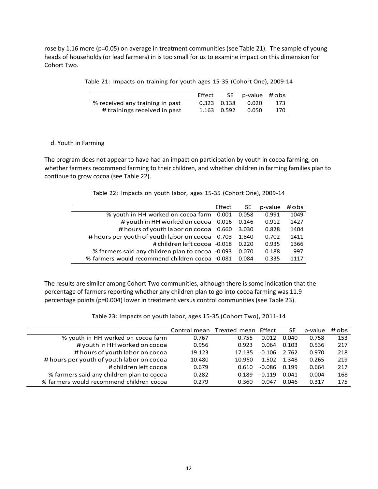rose by 1.16 more (p=0.05) on average in treatment communities (see Table 21). The sample of young heads of households (or lead farmers) in is too small for us to examine impact on this dimension for Cohort Two.

|  |  |  |  |  |  |  |  | Table 21: Impacts on training for youth ages 15-35 (Cohort One), 2009-14 |  |
|--|--|--|--|--|--|--|--|--------------------------------------------------------------------------|--|
|--|--|--|--|--|--|--|--|--------------------------------------------------------------------------|--|

|                                 | Effect |                 | SE p-value #obs |     |
|---------------------------------|--------|-----------------|-----------------|-----|
| % received any training in past |        | $0.323$ $0.138$ | 0.020           | 173 |
| # trainings received in past    |        | 1.163 0.592     | 0.050           | 170 |

#### d. Youth in Farming

The program does not appear to have had an impact on participation by youth in cocoa farming, on whether farmers recommend farming to their children, and whether children in farming families plan to continue to grow cocoa (see Table 22).

|  |  |  | Table 22: Impacts on youth labor, ages 15-35 (Cohort One), 2009-14 |
|--|--|--|--------------------------------------------------------------------|
|--|--|--|--------------------------------------------------------------------|

|                                                  | Effect | <b>SE</b> | p-value | #obs |
|--------------------------------------------------|--------|-----------|---------|------|
| % youth in HH worked on cocoa farm 0.001         |        | 0.058     | 0.991   | 1049 |
| # youth in HH worked on cocoa 0.016              |        | 0.146     | 0.912   | 1427 |
| # hours of youth labor on cocoa 0.660            |        | 3.030     | 0.828   | 1404 |
| # hours per youth of youth labor on cocoa        | 0.703  | 1.840     | 0.702   | 1411 |
| # children left cocoa -0.018                     |        | 0.220     | 0.935   | 1366 |
| % farmers said any children plan to cocoa -0.093 |        | 0.070     | 0.188   | 997  |
| % farmers would recommend children cocoa -0.081  |        | 0.084     | 0.335   | 1117 |

The results are similar among Cohort Two communities, although there is some indication that the percentage of farmers reporting whether any children plan to go into cocoa farming was 11.9 percentage points (p=0.004) lower in treatment versus control communities (see Table 23).

|                                           |        | Control mean Treated mean Effect |          | SE    | p-value | # obs |
|-------------------------------------------|--------|----------------------------------|----------|-------|---------|-------|
| % youth in HH worked on cocoa farm        | 0.767  | 0.755                            | 0.012    | 0.040 | 0.758   | 153   |
| # youth in HH worked on cocoa             | 0.956  | 0.923                            | 0.064    | 0.103 | 0.536   | 217   |
| # hours of youth labor on cocoa           | 19.123 | 17.135                           | $-0.106$ | 2.762 | 0.970   | 218   |
| # hours per youth of youth labor on cocoa | 10.480 | 10.960                           | 1.502    | 1.348 | 0.265   | 219   |
| # children left cocoa                     | 0.679  | 0.610                            | $-0.086$ | 0.199 | 0.664   | 217   |
| % farmers said any children plan to cocoa | 0.282  | 0.189                            | $-0.119$ | 0.041 | 0.004   | 168   |
| % farmers would recommend children cocoal | 0.279  | 0.360                            | 0.047    | 0.046 | 0.317   | 175   |

Table 23: Impacts on youth labor, ages 15-35 (Cohort Two), 2011-14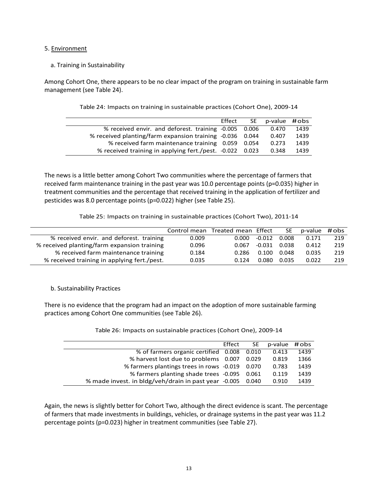#### 5. Environment

## a. Training in Sustainability

Among Cohort One, there appears to be no clear impact of the program on training in sustainable farm management (see Table 24).

|                                                          | Effect | SE p-value #obs |      |
|----------------------------------------------------------|--------|-----------------|------|
| % received envir. and deforest. training -0.005 0.006    |        | 0.470           | 1439 |
| % received planting/farm expansion training -0.036 0.044 |        | 0.407           | 1439 |
| % received farm maintenance training 0.059 0.054         |        | 0.273           | 1439 |
| % received training in applying fert./pest. -0.022 0.023 |        | 0.348           | 1439 |
|                                                          |        |                 |      |

Table 24: Impacts on training in sustainable practices (Cohort One), 2009-14

The news is a little better among Cohort Two communities where the percentage of farmers that received farm maintenance training in the past year was 10.0 percentage points (p=0.035) higher in treatment communities and the percentage that received training in the application of fertilizer and pesticides was 8.0 percentage points (p=0.022) higher (see Table 25).

Table 25: Impacts on training in sustainable practices (Cohort Two), 2011-14

|                                             |       | Control mean Treated mean Effect |          | SE.   | p-value | # obs |
|---------------------------------------------|-------|----------------------------------|----------|-------|---------|-------|
| % received envir. and deforest. training    | 0.009 | 0.000                            | $-0.012$ | 0.008 | 0.171   | 219   |
| % received planting/farm expansion training | 0.096 | 0.067                            | -0.031   | 0.038 | 0.412   | 219   |
| % received farm maintenance training        | 0.184 | 0.286                            | 0.100    | 0.048 | 0.035   | 219   |
| % received training in applying fert./pest. | 0.035 | 0.124                            | 0.080    | 0.035 | 0.022   | 219   |

b. Sustainability Practices

There is no evidence that the program had an impact on the adoption of more sustainable farming practices among Cohort One communities (see Table 26).

|                                                      | Effect | <b>SE</b> | p-value | # obs |
|------------------------------------------------------|--------|-----------|---------|-------|
| % of farmers organic certified 0.008                 |        | 0.010     | 0.413   | 1439  |
| % harvest lost due to problems 0.007                 |        | 0.029     | 0.819   | 1366  |
| % farmers plantings trees in rows -0.019             |        | 0.070     | 0.783   | 1439  |
| % farmers planting shade trees -0.095                |        | 0.061     | 0.119   | 1439  |
| % made invest. in bldg/veh/drain in past year -0.005 |        | 0.040     | 0.910   | 1439  |

Table 26: Impacts on sustainable practices (Cohort One), 2009-14

Again, the news is slightly better for Cohort Two, although the direct evidence is scant. The percentage of farmers that made investments in buildings, vehicles, or drainage systems in the past year was 11.2 percentage points (p=0.023) higher in treatment communities (see Table 27).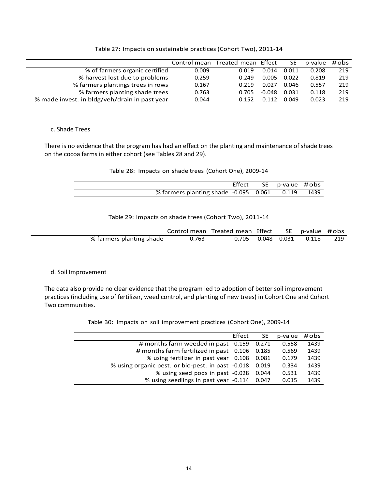|                                               |       | Control mean Treated mean Effect |          | SE.   | p-value | # obs |
|-----------------------------------------------|-------|----------------------------------|----------|-------|---------|-------|
| % of farmers organic certified                | 0.009 | 0.019                            | 0.014    | 0.011 | 0.208   | 219   |
| % harvest lost due to problems                | 0.259 | 0.249                            | 0.005    | 0.022 | 0.819   | 219   |
| % farmers plantings trees in rows             | 0.167 | 0.219                            | 0.027    | 0.046 | 0.557   | 219   |
| % farmers planting shade trees                | 0.763 | 0.705                            | $-0.048$ | 0.031 | 0.118   | 219   |
| % made invest. in bldg/veh/drain in past year | 0.044 | 0.152                            | በ 112    | 0.049 | 0.023   | 219   |

Table 27: Impacts on sustainable practices (Cohort Two), 2011-14

## c. Shade Trees

There is no evidence that the program has had an effect on the planting and maintenance of shade trees on the cocoa farms in either cohort (see Tables 28 and 29).

#### Table 28: Impacts on shade trees (Cohort One), 2009-14

|                                                  | Effect SE p-value #obs |  |
|--------------------------------------------------|------------------------|--|
| % farmers planting shade -0.095 0.061 0.119 1439 |                        |  |

#### Table 29: Impacts on shade trees (Cohort Two), 2011-14

|                          |       | Control mean Treated mean Effect |                      | SE p-value #obs |     |
|--------------------------|-------|----------------------------------|----------------------|-----------------|-----|
| % farmers planting shade | Ა.763 |                                  | $0.705 -0.048 0.031$ | 0.118           | 219 |

## d. Soil Improvement

The data also provide no clear evidence that the program led to adoption of better soil improvement practices (including use of fertilizer, weed control, and planting of new trees) in Cohort One and Cohort Two communities.

Table 30: Impacts on soil improvement practices (Cohort One), 2009-14

|                                                   | Effect | <b>SE</b> | p-value | #obs |
|---------------------------------------------------|--------|-----------|---------|------|
| # months farm weeded in past -0.159               |        | 0.271     | 0.558   | 1439 |
| # months farm fertilized in past 0.106            |        | 0.185     | 0.569   | 1439 |
| % using fertilizer in past year 0.108             |        | 0.081     | 0.179   | 1439 |
| % using organic pest. or bio-pest. in past -0.018 |        | 0.019     | 0.334   | 1439 |
| % using seed pods in past -0.028                  |        | 0.044     | 0.531   | 1439 |
| % using seedlings in past year -0.114             |        | 0.047     | 0.015   | 1439 |
|                                                   |        |           |         |      |